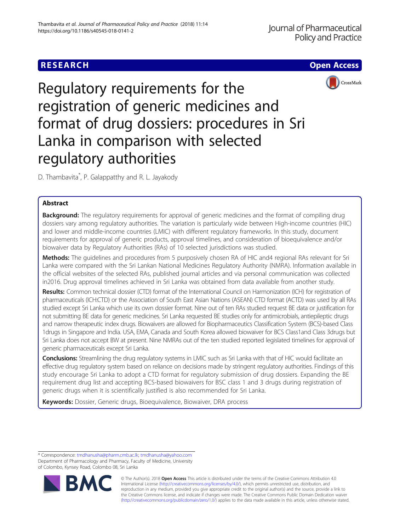# **RESEARCH CHE Open Access**





Regulatory requirements for the registration of generic medicines and format of drug dossiers: procedures in Sri Lanka in comparison with selected regulatory authorities

D. Thambavita\* , P. Galappatthy and R. L. Jayakody

## Abstract

**Background:** The regulatory requirements for approval of generic medicines and the format of compiling drug dossiers vary among regulatory authorities. The variation is particularly wide between High-income countries (HIC) and lower and middle-income countries (LMIC) with different regulatory frameworks. In this study, document requirements for approval of generic products, approval timelines, and consideration of bioequivalence and/or biowaiver data by Regulatory Authorities (RAs) of 10 selected jurisdictions was studied.

Methods: The quidelines and procedures from 5 purposively chosen RA of HIC and4 regional RAs relevant for Sri Lanka were compared with the Sri Lankan National Medicines Regulatory Authority (NMRA). Information available in the official websites of the selected RAs, published journal articles and via personal communication was collected in2016. Drug approval timelines achieved in Sri Lanka was obtained from data available from another study.

Results: Common technical dossier (CTD) format of the International Council on Harmonization (ICH) for registration of pharmaceuticals (ICH:CTD) or the Association of South East Asian Nations (ASEAN) CTD format (ACTD) was used by all RAs studied except Sri Lanka which use its own dossier format. Nine out of ten RAs studied request BE data or justification for not submitting BE data for generic medicines. Sri Lanka requested BE studies only for antimicrobials, antiepileptic drugs and narrow therapeutic index drugs. Biowaivers are allowed for Biopharmaceutics Classification System (BCS)-based Class 1drugs in Singapore and India. USA, EMA, Canada and South Korea allowed biowaiver for BCS Class1and Class 3drugs but Sri Lanka does not accept BW at present. Nine NMRAs out of the ten studied reported legislated timelines for approval of generic pharmaceuticals except Sri Lanka.

Conclusions: Streamlining the drug regulatory systems in LMIC such as Sri Lanka with that of HIC would facilitate an effective drug regulatory system based on reliance on decisions made by stringent regulatory authorities. Findings of this study encourage Sri Lanka to adopt a CTD format for regulatory submission of drug dossiers. Expanding the BE requirement drug list and accepting BCS-based biowaivers for BSC class 1 and 3 drugs during registration of generic drugs when it is scientifically justified is also recommended for Sri Lanka.

Keywords: Dossier, Generic drugs, Bioequivalence, Biowaiver, DRA process

<sup>\*</sup> Correspondence: [tmdhanusha@pharm.cmb.ac.lk;](mailto:tmdhanusha@pharm.cmb.ac.lk) [tmdhanusha@yahoo.com](mailto:tmdhanusha@yahoo.com) Department of Pharmacology and Pharmacy, Faculty of Medicine, University of Colombo, Kynsey Road, Colombo 08, Sri Lanka



© The Author(s). 2018 Open Access This article is distributed under the terms of the Creative Commons Attribution 4.0 International License [\(http://creativecommons.org/licenses/by/4.0/](http://creativecommons.org/licenses/by/4.0/)), which permits unrestricted use, distribution, and reproduction in any medium, provided you give appropriate credit to the original author(s) and the source, provide a link to the Creative Commons license, and indicate if changes were made. The Creative Commons Public Domain Dedication waiver [\(http://creativecommons.org/publicdomain/zero/1.0/](http://creativecommons.org/publicdomain/zero/1.0/)) applies to the data made available in this article, unless otherwise stated.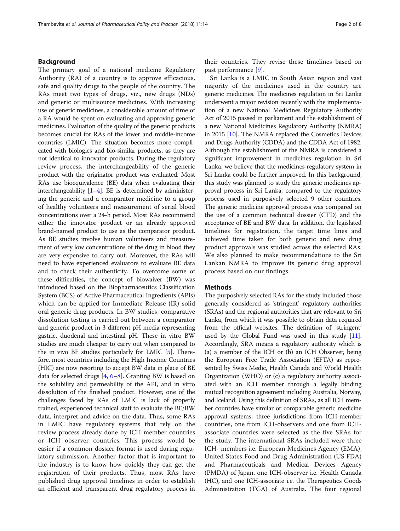## Background

The primary goal of a national medicine Regulatory Authority (RA) of a country is to approve efficacious, safe and quality drugs to the people of the country. The RAs meet two types of drugs, viz., new drugs (NDs) and generic or multisource medicines. With increasing use of generic medicines, a considerable amount of time of a RA would be spent on evaluating and approving generic medicines. Evaluation of the quality of the generic products becomes crucial for RAs of the lower and middle-income countries (LMIC). The situation becomes more complicated with biologics and bio-similar products, as they are not identical to innovator products. During the regulatory review process, the interchangeability of the generic product with the originator product was evaluated. Most RAs use bioequivalence (BE) data when evaluating their interchangeability  $[1-4]$  $[1-4]$  $[1-4]$  $[1-4]$  $[1-4]$ . BE is determined by administering the generic and a comparator medicine to a group of healthy volunteers and measurement of serial blood concentrations over a 24-h period. Most RAs recommend either the innovator product or an already approved brand-named product to use as the comparator product. As BE studies involve human volunteers and measurement of very low concentrations of the drug in blood they are very expensive to carry out. Moreover, the RAs will need to have experienced evaluators to evaluate BE data and to check their authenticity. To overcome some of these difficulties, the concept of biowaiver (BW) was introduced based on the Biopharmaceutics Classification System (BCS) of Active Pharmaceutical Ingredients (APIs) which can be applied for Immediate Release (IR) solid oral generic drug products. In BW studies, comparative dissolution testing is carried out between a comparator and generic product in 3 different pH media representing gastric, duodenal and intestinal pH. These in vitro BW studies are much cheaper to carry out when compared to the in vivo BE studies particularly for LMIC [\[5\]](#page-6-0). Therefore, most countries including the High Income Countries (HIC) are now resorting to accept BW data in place of BE data for selected drugs [\[4,](#page-6-0) [6](#page-6-0)–[8\]](#page-6-0). Granting BW is based on the solubility and permeability of the API, and in vitro dissolution of the finished product. However, one of the challenges faced by RAs of LMIC is lack of properly trained, experienced technical staff to evaluate the BE/BW data, interpret and advice on the data. Thus, some RAs in LMIC have regulatory systems that rely on the review process already done by ICH member countries or ICH observer countries. This process would be easier if a common dossier format is used during regulatory submission. Another factor that is important to the industry is to know how quickly they can get the registration of their products. Thus, most RAs have published drug approval timelines in order to establish an efficient and transparent drug regulatory process in their countries. They revise these timelines based on past performance [[9\]](#page-6-0).

Sri Lanka is a LMIC in South Asian region and vast majority of the medicines used in the country are generic medicines. The medicines regulation in Sri Lanka underwent a major revision recently with the implementation of a new National Medicines Regulatory Authority Act of 2015 passed in parliament and the establishment of a new National Medicines Regulatory Authority (NMRA) in 2015 [\[10\]](#page-6-0). The NMRA replaced the Cosmetics Devices and Drugs Authority (CDDA) and the CDDA Act of 1982. Although the establishment of the NMRA is considered a significant improvement in medicines regulation in Sri Lanka, we believe that the medicines regulatory system in Sri Lanka could be further improved. In this background, this study was planned to study the generic medicines approval process in Sri Lanka, compared to the regulatory process used in purposively selected 9 other countries. The generic medicine approval process was compared on the use of a common technical dossier (CTD) and the acceptance of BE and BW data. In addition, the legislated timelines for registration, the target time lines and achieved time taken for both generic and new drug product approvals was studied across the selected RAs. We also planned to make recommendations to the Sri Lankan NMRA to improve its generic drug approval process based on our findings.

## **Methods**

The purposively selected RAs for the study included those generally considered as 'stringent' regulatory authorities (SRAs) and the regional authorities that are relevant to Sri Lanka, from which it was possible to obtain data required from the official websites. The definition of 'stringent' used by the Global Fund was used in this study [[11](#page-6-0)]. Accordingly, SRA means a regulatory authority which is (a) a member of the ICH or (b) an ICH Observer, being the European Free Trade Association (EFTA) as represented by Swiss Medic, Health Canada and World Health Organization (WHO) or (c) a regulatory authority associated with an ICH member through a legally binding mutual recognition agreement including Australia, Norway, and Iceland. Using this definition of SRAs, as all ICH member countries have similar or comparable generic medicine approval systems, three jurisdictions from ICH-member countries, one from ICH-observers and one from ICHassociate countries were selected as the five SRAs for the study. The international SRAs included were three ICH- members i.e. European Medicines Agency (EMA), United States Food and Drug Administration (US FDA) and Pharmaceuticals and Medical Devices Agency (PMDA) of Japan, one ICH-observer i.e. Health Canada (HC), and one ICH-associate i.e. the Therapeutics Goods Administration (TGA) of Australia. The four regional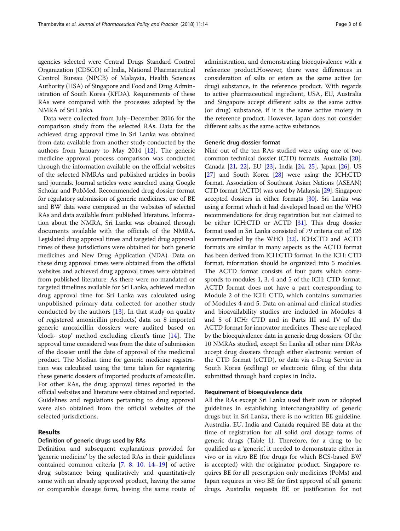agencies selected were Central Drugs Standard Control Organization (CDSCO) of India, National Pharmaceutical Control Bureau (NPCB) of Malaysia, Health Sciences Authority (HSA) of Singapore and Food and Drug Administration of South Korea (KFDA). Requirements of these RAs were compared with the processes adopted by the NMRA of Sri Lanka.

Data were collected from July–December 2016 for the comparison study from the selected RAs. Data for the achieved drug approval time in Sri Lanka was obtained from data available from another study conducted by the authors from January to May 2014 [[12\]](#page-6-0). The generic medicine approval process comparison was conducted through the information available on the official websites of the selected NMRAs and published articles in books and journals. Journal articles were searched using Google Scholar and PubMed. Recommended drug dossier format for regulatory submission of generic medicines, use of BE and BW data were compared in the websites of selected RAs and data available from published literature. Information about the NMRA, Sri Lanka was obtained through documents available with the officials of the NMRA. Legislated drug approval times and targeted drug approval times of these jurisdictions were obtained for both generic medicines and New Drug Application (NDA). Data on these drug approval times were obtained from the official websites and achieved drug approval times were obtained from published literature. As there were no mandated or targeted timelines available for Sri Lanka, achieved median drug approval time for Sri Lanka was calculated using unpublished primary data collected for another study conducted by the authors  $[13]$  $[13]$ . In that study on quality of registered amoxicillin products', data on 8 imported generic amoxicillin dossiers were audited based on 'clock- stop' method excluding client's time [[14\]](#page-7-0). The approval time considered was from the date of submission of the dossier until the date of approval of the medicinal product. The Median time for generic medicine registration was calculated using the time taken for registering these generic dossiers of imported products of amoxicillin. For other RAs, the drug approval times reported in the official websites and literature were obtained and reported. Guidelines and regulations pertaining to drug approval were also obtained from the official websites of the selected jurisdictions.

## Results

#### Definition of generic drugs used by RAs

Definition and subsequent explanations provided for 'generic medicine' by the selected RAs in their guidelines contained common criteria [[7,](#page-6-0) [8,](#page-6-0) [10,](#page-6-0) [14](#page-7-0)–[19](#page-7-0)] of active drug substance being qualitatively and quantitatively same with an already approved product, having the same or comparable dosage form, having the same route of administration, and demonstrating bioequivalence with a reference product.However, there were differences in consideration of salts or esters as the same active (or drug) substance, in the reference product. With regards to active pharmaceutical ingredient, USA, EU, Australia and Singapore accept different salts as the same active (or drug) substance, if it is the same active moiety in the reference product. However, Japan does not consider different salts as the same active substance.

#### Generic drug dossier format

Nine out of the ten RAs studied were using one of two common technical dossier (CTD) formats. Australia [[20](#page-7-0)], Canada [[21](#page-7-0), [22](#page-7-0)], EU [[23](#page-7-0)], India [\[24,](#page-7-0) [25\]](#page-7-0), Japan [[26](#page-7-0)], US [[27](#page-7-0)] and South Korea [\[28\]](#page-7-0) were using the ICH:CTD format. Association of Southeast Asian Nations (ASEAN) CTD format (ACTD) was used by Malaysia [\[29\]](#page-7-0). Singapore accepted dossiers in either formats [\[30\]](#page-7-0). Sri Lanka was using a format which it had developed based on the WHO recommendations for drug registration but not claimed to be either ICH:CTD or ACTD [\[31\]](#page-7-0). This drug dossier format used in Sri Lanka consisted of 79 criteria out of 126 recommended by the WHO [[32](#page-7-0)]. ICH:CTD and ACTD formats are similar in many aspects as the ACTD format has been derived from ICH:CTD format. In the ICH: CTD format, information should be organized into 5 modules. The ACTD format consists of four parts which corresponds to modules 1, 3, 4 and 5 of the ICH: CTD format. ACTD format does not have a part corresponding to Module 2 of the ICH: CTD, which contains summaries of Modules 4 and 5. Data on animal and clinical studies and bioavailability studies are included in Modules 4 and 5 of ICH: CTD and in Parts III and IV of the ACTD format for innovator medicines. These are replaced by the bioequivalence data in generic drug dossiers. Of the 10 NMRAs studied, except Sri Lanka all other nine DRAs accept drug dossiers through either electronic version of the CTD format (eCTD), or data via e-Drug Service in South Korea (ezfiling) or electronic filing of the data submitted through hard copies in India.

## Requirement of bioequivalence data

All the RAs except Sri Lanka used their own or adopted guidelines in establishing interchangeability of generic drugs but in Sri Lanka, there is no written BE guideline. Australia, EU, India and Canada required BE data at the time of registration for all solid oral dosage forms of generic drugs (Table [1](#page-3-0)). Therefore, for a drug to be qualified as a 'generic', it needed to demonstrate either in vivo or in vitro BE (for drugs for which BCS-based BW is accepted) with the originator product. Singapore requires BE for all prescription only medicines (PoMs) and Japan requires in vivo BE for first approval of all generic drugs. Australia requests BE or justification for not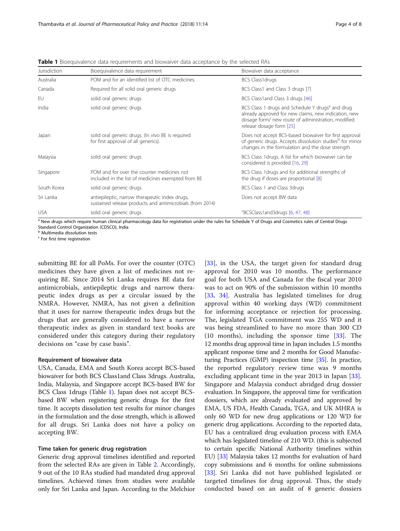| Jurisdiction | Bioequivalence data requirement                                                                             | Biowaiver data acceptance<br>BCS Class1drugs                                                                                                                                                           |  |  |
|--------------|-------------------------------------------------------------------------------------------------------------|--------------------------------------------------------------------------------------------------------------------------------------------------------------------------------------------------------|--|--|
| Australia    | POM and for an identified list of OTC medicines.                                                            |                                                                                                                                                                                                        |  |  |
| Canada       | Required for all solid oral generic drugs                                                                   | BCS Class1 and Class 3 drugs [7]                                                                                                                                                                       |  |  |
| <b>FU</b>    | solid oral generic drugs                                                                                    | BCS Class1and Class 3 drugs [46]                                                                                                                                                                       |  |  |
| India        | solid oral generic drugs                                                                                    | BCS Class 1 drugs and Schedule Y drugs <sup>a</sup> and drug<br>already approved for new claims, new indication, new<br>dosage form/ new route of administration, modified<br>release dosage form [25] |  |  |
| Japan        | solid oral generic drugs. (In vivo BE is reguired<br>for first approval of all generics).                   | Does not accept BCS-based biowaiver for first approval<br>of generic drugs. Accepts dissolution studies <sup>b</sup> for minor<br>changes in the formulation and the dose strength                     |  |  |
| Malaysia     | solid oral generic drugs                                                                                    | BCS Class 1drugs. A list for which biowaiver can be<br>considered is provided [16, 29]                                                                                                                 |  |  |
| Singapore    | POM and for over the counter medicines not<br>included in the list of medicines exempted from BE            | BCS Class 1 drugs and for additional strengths of<br>the drug if doses are proportional [8]                                                                                                            |  |  |
| South Korea  | solid oral generic drugs                                                                                    | BCS Class 1 and Class 3drugs                                                                                                                                                                           |  |  |
| Sri Lanka    | antiepileptic, narrow therapeutic index drugs,<br>sustained release products and antimicrobials (from 2014) | Does not accept BW data                                                                                                                                                                                |  |  |
| <b>USA</b>   | solid oral generic drugs                                                                                    | <sup>C</sup> BCSClass1and3drugs [6, 47, 48]                                                                                                                                                            |  |  |

<span id="page-3-0"></span>Table 1 Bioequivalence data requirements and biowaiver data acceptance by the selected RAs

<sup>a</sup> New drugs which require human clinical pharmacology data for registration under the rules for Schedule Y of Drugs and Cosmetics rules of Central Drugs Standard Control Organization (CDSCO), India

<sup>b</sup> Multimedia dissolution tests

<sup>c</sup> For first time registration

submitting BE for all PoMs. For over the counter (OTC) medicines they have given a list of medicines not requiring BE. Since 2014 Sri Lanka requires BE data for antimicrobials, antiepileptic drugs and narrow therapeutic index drugs as per a circular issued by the NMRA. However, NMRA, has not given a definition that it uses for narrow therapeutic index drugs but the drugs that are generally considered to have a narrow therapeutic index as given in standard text books are considered under this category during their regulatory decisions on "case by case basis".

#### Requirement of biowaiver data

USA, Canada, EMA and South Korea accept BCS-based biowaiver for both BCS Class1and Class 3drugs. Australia, India, Malaysia, and Singapore accept BCS-based BW for BCS Class 1drugs (Table 1). Japan does not accept BCSbased BW when registering generic drugs for the first time. It accepts dissolution test results for minor changes in the formulation and the dose strength, which is allowed for all drugs. Sri Lanka does not have a policy on accepting BW.

### Time taken for generic drug registration

Generic drug approval timelines identified and reported from the selected RAs are given in Table [2.](#page-4-0) Accordingly, 9 out of the 10 RAs studied had mandated drug approval timelines. Achieved times from studies were available only for Sri Lanka and Japan. According to the Melchior

[[33\]](#page-7-0), in the USA, the target given for standard drug approval for 2010 was 10 months. The performance goal for both USA and Canada for the fiscal year 2010 was to act on 90% of the submission within 10 months [[33,](#page-7-0) [34](#page-7-0)]. Australia has legislated timelines for drug approval within 40 working days (WD) commitment for informing acceptance or rejection for processing. The, legislated TGA commitment was 255 WD and it was being streamlined to have no more than 300 CD (10 months), including the sponsor time [\[33](#page-7-0)]. The 12 months drug approval time in Japan includes 1.5 months applicant response time and 2 months for Good Manufacturing Practices (GMP) inspection time [\[35](#page-7-0)]. In practice, the reported regulatory review time was 9 months excluding applicant time in the year 2013 in Japan [\[33](#page-7-0)]. Singapore and Malaysia conduct abridged drug dossier evaluation. In Singapore, the approval time for verification dossiers, which are already evaluated and approved by EMA, US FDA, Health Canada, TGA, and UK MHRA is only 60 WD for new drug applications or 120 WD for generic drug applications. According to the reported data, EU has a centralized drug evaluation process with EMA which has legislated timeline of 210 WD. (this is subjected to certain specific National Authority timelines within EU) [[33](#page-7-0)] Malaysia takes 12 months for evaluation of hard copy submissions and 6 months for online submissions [[33](#page-7-0)]. Sri Lanka did not have published legislated or targeted timelines for drug approval. Thus, the study conducted based on an audit of 8 generic dossiers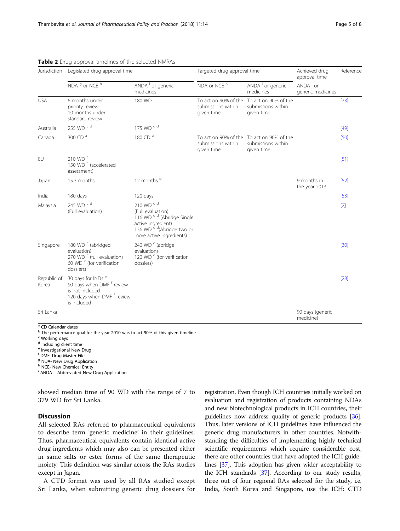| Jurisdiction         | Legislated drug approval time                                                                                                              |                                                                                                                                                                             | Targeted drug approval time      |                                                                               | Achieved drug<br>approval time            | Reference |
|----------------------|--------------------------------------------------------------------------------------------------------------------------------------------|-----------------------------------------------------------------------------------------------------------------------------------------------------------------------------|----------------------------------|-------------------------------------------------------------------------------|-------------------------------------------|-----------|
|                      | NDA <sup>9</sup> or NCE <sup>h</sup>                                                                                                       | ANDA <sup>i</sup> or generic<br>medicines                                                                                                                                   | NDA or NCE <sup>h</sup>          | ANDA <sup>i</sup> or generic<br>medicines                                     | ANDA <sup>i</sup> or<br>generic medicines |           |
| <b>USA</b>           | 6 months under<br>priority review<br>10 months under<br>standard review                                                                    | 180 WD                                                                                                                                                                      | submissions within<br>given time | To act on 90% of the To act on 90% of the<br>submissions within<br>given time |                                           | $[33]$    |
| Australia            | 255 WD $c$ d                                                                                                                               | 175 WD $c$ d                                                                                                                                                                |                                  |                                                                               |                                           | $[49]$    |
| Canada               | 300 CD $a$                                                                                                                                 | 180 CD <sup>a</sup>                                                                                                                                                         | submissions within<br>given time | To act on 90% of the To act on 90% of the<br>submissions within<br>given time |                                           | $[50]$    |
| EU                   | 210 WD <sup>c</sup><br>150 WD <sup>c</sup> (accelerated<br>assessment)                                                                     |                                                                                                                                                                             |                                  |                                                                               |                                           | $[51]$    |
| Japan                | 15.3 months                                                                                                                                | 12 months d                                                                                                                                                                 |                                  |                                                                               | 9 months in<br>the year 2013              | $[52]$    |
| India                | 180 days                                                                                                                                   | 120 days                                                                                                                                                                    |                                  |                                                                               |                                           | $[53]$    |
| Malaysia             | 245 WD <sup>cd</sup><br>(Full evaluation)                                                                                                  | 210 WD <sup>cd</sup><br>(Full evaluation)<br>116 WD <sup>cd</sup> (Abridge Single<br>active ingredient)<br>136 WD <sup>cd</sup> (Abridge two or<br>more active ingredients) |                                  |                                                                               |                                           | $[2]$     |
| Singapore            | 180 WD <sup>c</sup> (abridged<br>evaluation)<br>270 WD <sup>c</sup> (full evaluation)<br>60 WD <sup>c</sup> (for verification<br>dossiers) | 240 WD <sup>c</sup> (abridge<br>evaluation)<br>120 WD <sup>c</sup> (for verification<br>dossiers)                                                                           |                                  |                                                                               |                                           | $[30]$    |
| Republic of<br>Korea | 30 days for INDs <sup>e</sup><br>90 days when DMF f review<br>is not included<br>120 days when DMF f review<br>is included                 |                                                                                                                                                                             |                                  |                                                                               |                                           | $[28]$    |
| Sri Lanka            |                                                                                                                                            |                                                                                                                                                                             |                                  |                                                                               | 90 days (generic<br>medicine)             |           |

## <span id="page-4-0"></span>Table 2 Drug approval timelines of the selected NMRAs

<sup>a</sup> CD Calendar dates

b The performance goal for the year 2010 was to act 90% of this given timeline

 $c$  Working days

<sup>d</sup> including client time

<sup>e</sup> Investigational New Drug

<sup>f</sup> DMF: Drug Master File

<sup>g</sup> NDA- New Drug Application

h NCE- New Chemical Entity

<sup>i</sup> ANDA - Abbreviated New Drug Application

showed median time of 90 WD with the range of 7 to 379 WD for Sri Lanka.

## **Discussion**

All selected RAs referred to pharmaceutical equivalents to describe term 'generic medicine' in their guidelines. Thus, pharmaceutical equivalents contain identical active drug ingredients which may also can be presented either in same salts or ester forms of the same therapeutic moiety. This definition was similar across the RAs studies except in Japan.

A CTD format was used by all RAs studied except Sri Lanka, when submitting generic drug dossiers for registration. Even though ICH countries initially worked on evaluation and registration of products containing NDAs and new biotechnological products in ICH countries, their guidelines now address quality of generic products [\[36](#page-7-0)]. Thus, later versions of ICH guidelines have influenced the generic drug manufacturers in other countries. Notwithstanding the difficulties of implementing highly technical scientific requirements which require considerable cost, there are other countries that have adopted the ICH guidelines [[37](#page-7-0)]. This adoption has given wider acceptability to the ICH standards [\[37](#page-7-0)]. According to our study results, three out of four regional RAs selected for the study, i.e. India, South Korea and Singapore, use the ICH: CTD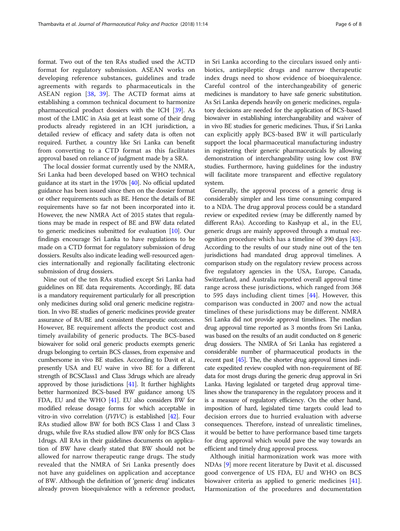format. Two out of the ten RAs studied used the ACTD format for regulatory submission. ASEAN works on developing reference substances, guidelines and trade agreements with regards to pharmaceuticals in the ASEAN region [\[38](#page-7-0), [39\]](#page-7-0). The ACTD format aims at establishing a common technical document to harmonize pharmaceutical product dossiers with the ICH [\[39\]](#page-7-0). As most of the LMIC in Asia get at least some of their drug products already registered in an ICH jurisdiction, a detailed review of efficacy and safety data is often not required. Further, a country like Sri Lanka can benefit from converting to a CTD format as this facilitates approval based on reliance of judgment made by a SRA.

The local dossier format currently used by the NMRA, Sri Lanka had been developed based on WHO technical guidance at its start in the 1970s [\[40\]](#page-7-0). No official updated guidance has been issued since then on the dossier format or other requirements such as BE. Hence the details of BE requirements have so far not been incorporated into it. However, the new NMRA Act of 2015 states that regulations may be made in respect of BE and BW data related to generic medicines submitted for evaluation [\[10\]](#page-6-0). Our findings encourage Sri Lanka to have regulations to be made on a CTD format for regulatory submission of drug dossiers. Results also indicate leading well-resourced agencies internationally and regionally facilitating electronic submission of drug dossiers.

Nine out of the ten RAs studied except Sri Lanka had guidelines on BE data requirements. Accordingly, BE data is a mandatory requirement particularly for all prescription only medicines during solid oral generic medicine registration. In vivo BE studies of generic medicines provide greater assurance of BA/BE and consistent therapeutic outcomes. However, BE requirement affects the product cost and timely availability of generic products. The BCS-based biowaiver for solid oral generic products exempts generic drugs belonging to certain BCS classes, from expensive and cumbersome in vivo BE studies. According to Davit et al., presently USA and EU waive in vivo BE for a different strength of BCSClass1 and Class 3drugs which are already approved by those jurisdictions [\[41\]](#page-7-0). It further highlights better harmonized BCS-based BW guidance among US FDA, EU and the WHO [[41](#page-7-0)]. EU also considers BW for modified release dosage forms for which acceptable in vitro-in vivo correlation (IVIVC) is established [\[42\]](#page-7-0). Four RAs studied allow BW for both BCS Class 1 and Class 3 drugs, while five RAs studied allow BW only for BCS Class 1drugs. All RAs in their guidelines documents on application of BW have clearly stated that BW should not be allowed for narrow therapeutic range drugs. The study revealed that the NMRA of Sri Lanka presently does not have any guidelines on application and acceptance of BW. Although the definition of 'generic drug' indicates already proven bioequivalence with a reference product, in Sri Lanka according to the circulars issued only antibiotics, antiepileptic drugs and narrow therapeutic index drugs need to show evidence of bioequivalence. Careful control of the interchangeability of generic medicines is mandatory to have safe generic substitution. As Sri Lanka depends heavily on generic medicines, regulatory decisions are needed for the application of BCS-based biowaiver in establishing interchangeability and waiver of in vivo BE studies for generic medicines. Thus, if Sri Lanka can explicitly apply BCS-based BW it will particularly support the local pharmaceutical manufacturing industry in registering their generic pharmaceuticals by allowing demonstration of interchangeability using low cost BW studies. Furthermore, having guidelines for the industry will facilitate more transparent and effective regulatory system.

Generally, the approval process of a generic drug is considerably simpler and less time consuming compared to a NDA. The drug approval process could be a standard review or expedited review (may be differently named by different RAs). According to Kashyap et al., in the EU, generic drugs are mainly approved through a mutual recognition procedure which has a timeline of 390 days [[43](#page-7-0)]. According to the results of our study nine out of the ten jurisdictions had mandated drug approval timelines. A comparison study on the regulatory review process across five regulatory agencies in the USA, Europe, Canada, Switzerland, and Australia reported overall approval time range across these jurisdictions, which ranged from 368 to 595 days including client times [\[44](#page-7-0)]. However, this comparison was conducted in 2007 and now the actual timelines of these jurisdictions may be different. NMRA Sri Lanka did not provide approval timelines. The median drug approval time reported as 3 months from Sri Lanka, was based on the results of an audit conducted on 8 generic drug dossiers. The NMRA of Sri Lanka has registered a considerable number of pharmaceutical products in the recent past [\[45](#page-7-0)]. The, the shorter drug approval times indicate expedited review coupled with non-requirement of BE data for most drugs during the generic drug approval in Sri Lanka. Having legislated or targeted drug approval timelines show the transparency in the regulatory process and it is a measure of regulatory efficiency. On the other hand, imposition of hard, legislated time targets could lead to decision errors due to hurried evaluation with adverse consequences. Therefore, instead of unrealistic timelines, it would be better to have performance based time targets for drug approval which would pave the way towards an efficient and timely drug approval process.

Although initial harmonization work was more with NDAs [\[9](#page-6-0)] more recent literature by Davit et al. discussed good convergence of US FDA, EU and WHO on BCS biowaiver criteria as applied to generic medicines [\[41](#page-7-0)]. Harmonization of the procedures and documentation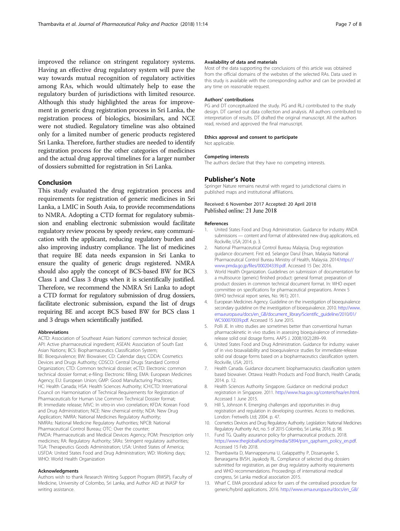<span id="page-6-0"></span>improved the reliance on stringent regulatory systems. Having an effective drug regulatory system will pave the way towards mutual recognition of regulatory activities among RAs, which would ultimately help to ease the regulatory burden of jurisdictions with limited resource. Although this study highlighted the areas for improvement in generic drug registration process in Sri Lanka, the registration process of biologics, biosimilars, and NCE were not studied. Regulatory timeline was also obtained only for a limited number of generic products registered Sri Lanka. Therefore, further studies are needed to identify registration process for the other categories of medicines and the actual drug approval timelines for a larger number of dossiers submitted for registration in Sri Lanka.

## Conclusion

This study evaluated the drug registration process and requirements for registration of generic medicines in Sri Lanka, a LMIC in South Asia, to provide recommendations to NMRA. Adopting a CTD format for regulatory submission and enabling electronic submission would facilitate regulatory review process by speedy review, easy communication with the applicant, reducing regulatory burden and also improving industry compliance. The list of medicines that require BE data needs expansion in Sri Lanka to ensure the quality of generic drugs registered. NMRA should also apply the concept of BCS-based BW for BCS Class 1 and Class 3 drugs when it is scientifically justified. Therefore, we recommend the NMRA Sri Lanka to adopt a CTD format for regulatory submission of drug dossiers, facilitate electronic submission, expand the list of drugs requiring BE and accept BCS based BW for BCS class 1 and 3 drugs when scientifically justified.

#### Abbreviations

ACTD: Association of Southeast Asian Nations' common technical dossier; API: Active pharmaceutical ingredient; ASEAN: Association of South East Asian Nations; BCS: Biopharmaceutics Classification System; BE: Bioequivalence; BW: Biowaiver; CD: Calendar days; CDDA: Cosmetics Devices and Drugs Authority; CDSCO: Central Drugs Standard Control Organization; CTD: Common technical dossier; eCTD: Electronic common technical dossier format; e-filing: Electronic filling; EMA: European Medicines Agency; EU: European Union; GMP: Good Manufacturing Practices; HC: Health Canada; HSA: Health Sciences Authority; ICH:CTD: International Council on Harmonisation of Technical Requirements for Registration of Pharmaceuticals for Human Use Common Technical Dossier format; IR: Immediate release; IVIVC: In vitro-in vivo correlation; KFDA: Korean Food and Drug Administration; NCE: New chemical entity; NDA: New Drug Application; NMRA: National Medicines Regulatory Authority; NMRAs: National Medicine Regulatory Authorities; NPCB: National Pharmaceutical Control Bureau; OTC: Over the counter; PMDA: Pharmaceuticals and Medical Devices Agency; POM: Prescription only medicines; RA: Regulatory Authority; SRAs: Stringent regulatory authorities; TGA: Therapeutics Goods Administration; USA: United States of America; USFDA: United States Food and Drug Administration; WD: Working days; WHO: World Health Organization

#### Acknowledgments

Authors wish to thank Research Writing Support Program (RWSP), Faculty of Medicine, University of Colombo, Sri Lanka, and Author AID at INASP for writing assistance.

#### Availability of data and materials

Most of the data supporting the conclusions of this article was obtained from the official domains of the websites of the selected RAs. Data used in this study is available with the corresponding author and can be provided at any time on reasonable request.

#### Authors' contributions

PG and DT conceptualized the study. PG and RLJ contributed to the study design. DT carried out data collection and analysis. All authors contributed to interpretation of results. DT drafted the original manuscript. All the authors read, revised and approved the final manuscript.

#### Ethics approval and consent to participate

Not applicable.

#### Competing interests

The authors declare that they have no competing interests.

#### Publisher's Note

Springer Nature remains neutral with regard to jurisdictional claims in published maps and institutional affiliations.

#### Received: 6 November 2017 Accepted: 20 April 2018 Published online: 21 June 2018

#### References

- 1. United States Food and Drug Administration. Guidance for industry ANDA submissions — content and format of abbreviated new drug applications, ed. Rockville, USA; 2014. p. 3.
- 2. National Pharmaceutical Control Bureau Malaysia, Drug registration guidance document. First ed. Selangor Darul Ehsan, Malaysia National Pharmaceutical Control Bureau Ministry of Health, Malaysia. 2014.[https://](https://www.pmda.go.jp/files/000204339.pdf) [www.pmda.go.jp/files/000204339.pdf.](https://www.pmda.go.jp/files/000204339.pdf) Accessed 15 Dec 2016.
- 3. World Health Organization. Guidelines on submission of documentation for a multisource (generic) finished product: general format: preparation of product dossiers in common technical document format. In: WHO expert committee on specifications for pharmaceutical preparations. Annex 5 (WHO technical report series, No. 961); 2011.
- 4. European Medicines Agency. Guideline on the investigation of bioequivalence secondary guideline on the investigation of bioequivalence. 2010. [http://www.](http://www.ema.europa.eu/docs/en_GB/document_library/Scientific_guideline/2010/01/WC500070039.pdf) [ema.europa.eu/docs/en\\_GB/document\\_library/Scientific\\_guideline/2010/01/](http://www.ema.europa.eu/docs/en_GB/document_library/Scientific_guideline/2010/01/WC500070039.pdf) [WC500070039.pdf.](http://www.ema.europa.eu/docs/en_GB/document_library/Scientific_guideline/2010/01/WC500070039.pdf) Accessed 15 June 2015.
- 5. Polli JE. In vitro studies are sometimes better than conventional human pharmacokinetic in vivo studies in assessing bioequivalence of immediaterelease solid oral dosage forms. AAPS J. 2008;10(2):289–99.
- 6. United States Food and Drug Administration. Guidance for industry: waiver of in vivo bioavailability and bioequivalence studies for immediate-release solid oral dosage forms based on a biopharmaceutics classification system. Rockville, USA; 2015.
- 7. Health Canada. Guidance document: biopharmaceutics classification system based biowaiver. Ottawa: Health Products and Food Branch, Health Canada; 2014. p. 12.
- 8. Health Sciences Authority Singapore. Guidance on medicinal product registration in Singapore. 2011. [http://www.hsa.gov.sg/content/hsa/en.html.](http://www.hsa.gov.sg/content/hsa/en.html) Accessed 1 June 2015.
- 9. Hill S, Johnson K. Emerging challenges and opportunities in drug registration and regulation in developing countries. Access to medicines. London: Fretwells Ltd; 2004. p. 47.
- 10. Cosmetics Devices and Drug Regulatory Authority. Legislation: National Medicines Regulatory Authority Act, no. 5 of 2015 Colombo, Sri Lanka; 2016. p. 98.
- 11. Fund TG. Quality assurance policy for pharmaceutical products. 2018. [https://www.theglobalfund.org/media/5894/psm\\_qapharm\\_policy\\_en.pdf](https://www.theglobalfund.org/media/5894/psm_qapharm_policy_en.pdf). Accessed 15 Feb 2018.
- 12. Thambawita D, Mannapperuma U, Galappatthy P, Dissanayeke S, Benaragama BVSH, Jayakody RL. Compliance of selected drug dossiers submitted for registration, as per drug regulatory authority requirements and WHO recommendations. Proceedings of international medical congress, Sri Lanka medical association 2015.
- 13. Wharf C. EMA procedural advice for users of the centralised procedure for generic/hybrid applications. 2016. [http://www.ema.europa.eu/docs/en\\_GB/](http://www.ema.europa.eu/docs/en_GB/document_library/Regulatory_and_procedural_guideline/2009/10/WC500004018.pdf)